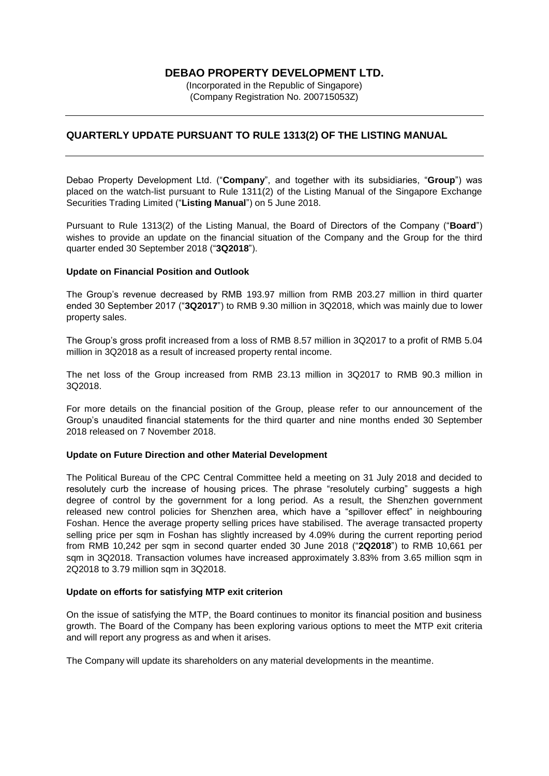## **DEBAO PROPERTY DEVELOPMENT LTD.**

(Incorporated in the Republic of Singapore) (Company Registration No. 200715053Z)

### **QUARTERLY UPDATE PURSUANT TO RULE 1313(2) OF THE LISTING MANUAL**

Debao Property Development Ltd. ("**Company**", and together with its subsidiaries, "**Group**") was placed on the watch-list pursuant to Rule 1311(2) of the Listing Manual of the Singapore Exchange Securities Trading Limited ("**Listing Manual**") on 5 June 2018.

Pursuant to Rule 1313(2) of the Listing Manual, the Board of Directors of the Company ("**Board**") wishes to provide an update on the financial situation of the Company and the Group for the third quarter ended 30 September 2018 ("**3Q2018**").

#### **Update on Financial Position and Outlook**

The Group's revenue decreased by RMB 193.97 million from RMB 203.27 million in third quarter ended 30 September 2017 ("**3Q2017**") to RMB 9.30 million in 3Q2018, which was mainly due to lower property sales.

The Group's gross profit increased from a loss of RMB 8.57 million in 3Q2017 to a profit of RMB 5.04 million in 3Q2018 as a result of increased property rental income.

The net loss of the Group increased from RMB 23.13 million in 3Q2017 to RMB 90.3 million in 3Q2018.

For more details on the financial position of the Group, please refer to our announcement of the Group's unaudited financial statements for the third quarter and nine months ended 30 September 2018 released on 7 November 2018.

#### **Update on Future Direction and other Material Development**

The Political Bureau of the CPC Central Committee held a meeting on 31 July 2018 and decided to resolutely curb the increase of housing prices. The phrase "resolutely curbing" suggests a high degree of control by the government for a long period. As a result, the Shenzhen government released new control policies for Shenzhen area, which have a "spillover effect" in neighbouring Foshan. Hence the average property selling prices have stabilised. The average transacted property selling price per sqm in Foshan has slightly increased by 4.09% during the current reporting period from RMB 10,242 per sqm in second quarter ended 30 June 2018 ("**2Q2018**") to RMB 10,661 per sqm in 3Q2018. Transaction volumes have increased approximately 3.83% from 3.65 million sqm in 2Q2018 to 3.79 million sqm in 3Q2018.

#### **Update on efforts for satisfying MTP exit criterion**

On the issue of satisfying the MTP, the Board continues to monitor its financial position and business growth. The Board of the Company has been exploring various options to meet the MTP exit criteria and will report any progress as and when it arises.

The Company will update its shareholders on any material developments in the meantime.